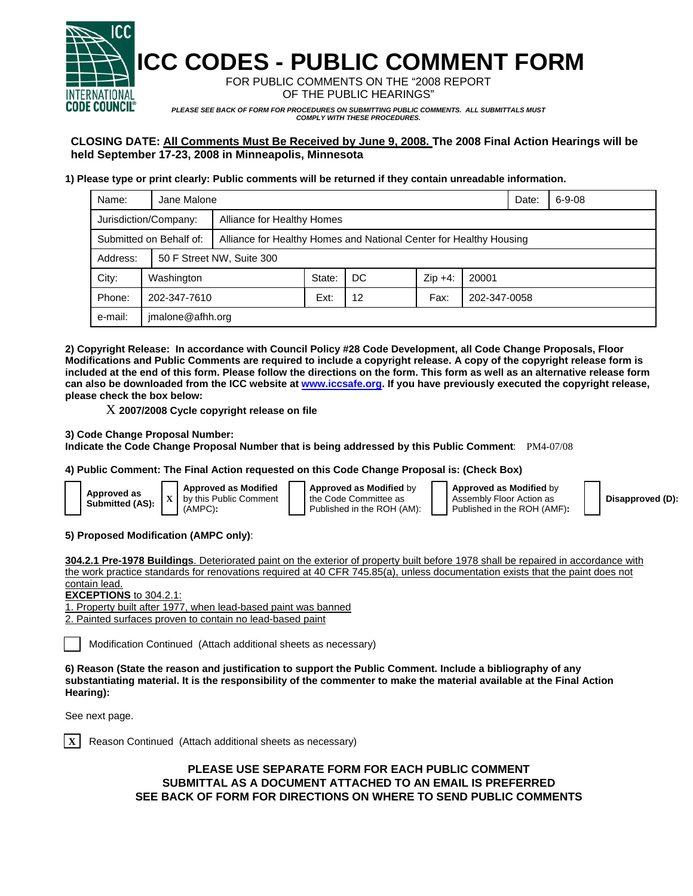

**ICC CODES - PUBLIC COMMENT FORM** 

FOR PUBLIC COMMENTS ON THE "2008 REPORT OF THE PUBLIC HEARINGS"

*PLEASE SEE BACK OF FORM FOR PROCEDURES ON SUBMITTING PUBLIC COMMENTS. ALL SUBMITTALS MUST COMPLY WITH THESE PROCEDURES.* 

## **CLOSING DATE: All Comments Must Be Received by June 9, 2008. The 2008 Final Action Hearings will be held September 17-23, 2008 in Minneapolis, Minnesota**

## **1) Please type or print clearly: Public comments will be returned if they contain unreadable information.**

| Name:                   | Jane Malone      |                                                                    |        |     |           |              | Date: | $6 - 9 - 08$ |  |
|-------------------------|------------------|--------------------------------------------------------------------|--------|-----|-----------|--------------|-------|--------------|--|
| Jurisdiction/Company:   |                  | Alliance for Healthy Homes                                         |        |     |           |              |       |              |  |
| Submitted on Behalf of: |                  | Alliance for Healthy Homes and National Center for Healthy Housing |        |     |           |              |       |              |  |
| Address:                |                  | 50 F Street NW, Suite 300                                          |        |     |           |              |       |              |  |
| City:                   | Washington       |                                                                    | State: | DC. | $Zip +4:$ | 20001        |       |              |  |
| Phone:                  | 202-347-7610     |                                                                    | Ext:   | 12  | Fax:      | 202-347-0058 |       |              |  |
| e-mail:                 | jmalone@afhh.org |                                                                    |        |     |           |              |       |              |  |

**2) Copyright Release: In accordance with Council Policy #28 Code Development, all Code Change Proposals, Floor Modifications and Public Comments are required to include a copyright release. A copy of the copyright release form is included at the end of this form. Please follow the directions on the form. This form as well as an alternative release form can also be downloaded from the ICC website at www.iccsafe.org. If you have previously executed the copyright release, please check the box below:** 

X **2007/2008 Cycle copyright release on file** 

**3) Code Change Proposal Number:** 

**Indicate the Code Change Proposal Number that is being addressed by this Public Comment**: PM4-07/08

**4) Public Comment: The Final Action requested on this Code Change Proposal is: (Check Box)**

| Approved as<br>Submitted (AS): |
|--------------------------------|
|--------------------------------|

**Approved as Modified** by this Public Comment (AMPC)**:** 

**Approved as Modified** by the Code Committee as Published in the ROH (AM): **Approved as Modified** by Assembly Floor Action as Published in the ROH (AMF)**:** 



## **5) Proposed Modification (AMPC only)**:

**304.2.1 Pre-1978 Buildings**. Deteriorated paint on the exterior of property built before 1978 shall be repaired in accordance with the work practice standards for renovations required at 40 CFR 745.85(a), unless documentation exists that the paint does not contain lead.

**EXCEPTIONS** to 304.2.1:

1. Property built after 1977, when lead-based paint was banned

2. Painted surfaces proven to contain no lead-based paint

Modification Continued (Attach additional sheets as necessary)

**6) Reason (State the reason and justification to support the Public Comment. Include a bibliography of any substantiating material. It is the responsibility of the commenter to make the material available at the Final Action Hearing):**

See next page.

**X** Reason Continued (Attach additional sheets as necessary)

**PLEASE USE SEPARATE FORM FOR EACH PUBLIC COMMENT SUBMITTAL AS A DOCUMENT ATTACHED TO AN EMAIL IS PREFERRED SEE BACK OF FORM FOR DIRECTIONS ON WHERE TO SEND PUBLIC COMMENTS**